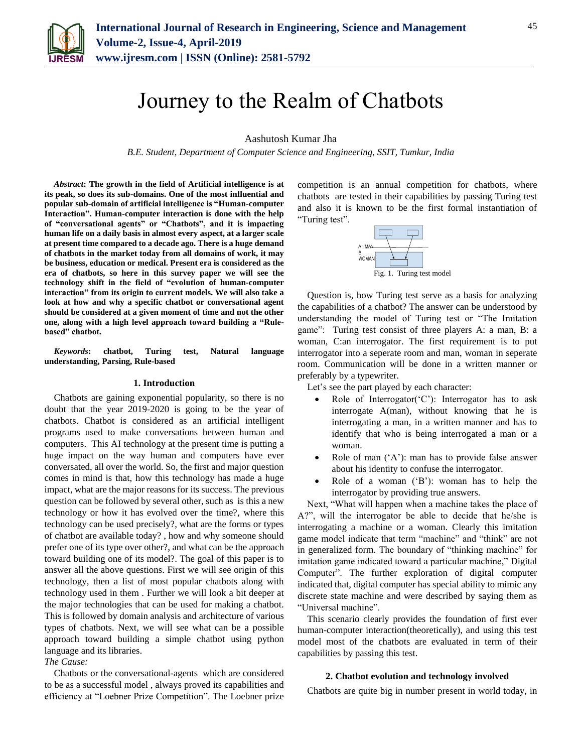

# Journey to the Realm of Chatbots

Aashutosh Kumar Jha

*B.E. Student, Department of Computer Science and Engineering, SSIT, Tumkur, India*

*Abstract***: The growth in the field of Artificial intelligence is at its peak, so does its sub-domains. One of the most influential and popular sub-domain of artificial intelligence is "Human-computer Interaction". Human-computer interaction is done with the help of "conversational agents" or "Chatbots", and it is impacting human life on a daily basis in almost every aspect, at a larger scale at present time compared to a decade ago. There is a huge demand of chatbots in the market today from all domains of work, it may be business, education or medical. Present era is considered as the era of chatbots, so here in this survey paper we will see the technology shift in the field of "evolution of human-computer interaction" from its origin to current models. We will also take a look at how and why a specific chatbot or conversational agent should be considered at a given moment of time and not the other one, along with a high level approach toward building a "Rulebased" chatbot.** 

*Keywords***: chatbot, Turing test, Natural language understanding, Parsing, Rule-based**

#### **1. Introduction**

Chatbots are gaining exponential popularity, so there is no doubt that the year 2019-2020 is going to be the year of chatbots. Chatbot is considered as an artificial intelligent programs used to make conversations between human and computers. This AI technology at the present time is putting a huge impact on the way human and computers have ever conversated, all over the world. So, the first and major question comes in mind is that, how this technology has made a huge impact, what are the major reasons for its success. The previous question can be followed by several other, such as is this a new technology or how it has evolved over the time?, where this technology can be used precisely?, what are the forms or types of chatbot are available today? , how and why someone should prefer one of its type over other?, and what can be the approach toward building one of its model?. The goal of this paper is to answer all the above questions. First we will see origin of this technology, then a list of most popular chatbots along with technology used in them . Further we will look a bit deeper at the major technologies that can be used for making a chatbot. This is followed by domain analysis and architecture of various types of chatbots. Next, we will see what can be a possible approach toward building a simple chatbot using python language and its libraries.

## *The Cause:*

Chatbots or the conversational-agents which are considered to be as a successful model , always proved its capabilities and efficiency at "Loebner Prize Competition". The Loebner prize competition is an annual competition for chatbots, where chatbots are tested in their capabilities by passing Turing test and also it is known to be the first formal instantiation of "Turing test".



Question is, how Turing test serve as a basis for analyzing the capabilities of a chatbot? The answer can be understood by understanding the model of Turing test or "The Imitation game": Turing test consist of three players A: a man, B: a woman, C:an interrogator. The first requirement is to put interrogator into a seperate room and man, woman in seperate room. Communication will be done in a written manner or preferably by a typewriter.

Let's see the part played by each character:

- Role of Interrogator('C'): Interrogator has to ask interrogate A(man), without knowing that he is interrogating a man, in a written manner and has to identify that who is being interrogated a man or a woman.
- Role of man  $(A')$ : man has to provide false answer about his identity to confuse the interrogator.
- Role of a woman ('B'): woman has to help the interrogator by providing true answers.

Next, "What will happen when a machine takes the place of A?", will the interrogator be able to decide that he/she is interrogating a machine or a woman. Clearly this imitation game model indicate that term "machine" and "think" are not in generalized form. The boundary of "thinking machine" for imitation game indicated toward a particular machine," Digital Computer". The further exploration of digital computer indicated that, digital computer has special ability to mimic any discrete state machine and were described by saying them as "Universal machine".

This scenario clearly provides the foundation of first ever human-computer interaction(theoretically), and using this test model most of the chatbots are evaluated in term of their capabilities by passing this test.

#### **2. Chatbot evolution and technology involved**

Chatbots are quite big in number present in world today, in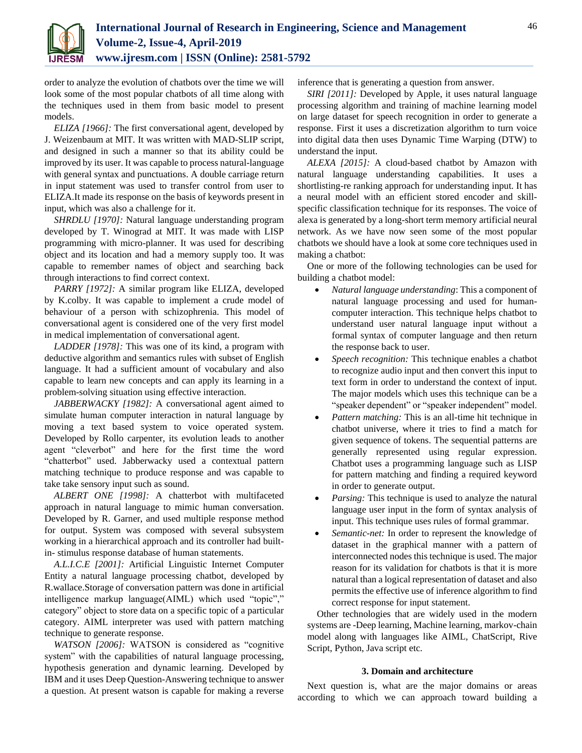

order to analyze the evolution of chatbots over the time we will look some of the most popular chatbots of all time along with the techniques used in them from basic model to present models.

*ELIZA [1966]:* The first conversational agent, developed by J. Weizenbaum at MIT. It was written with MAD-SLIP script, and designed in such a manner so that its ability could be improved by its user. It was capable to process natural-language with general syntax and punctuations. A double carriage return in input statement was used to transfer control from user to ELIZA.It made its response on the basis of keywords present in input, which was also a challenge for it.

*SHRDLU [1970]:* Natural language understanding program developed by T. Winograd at MIT. It was made with LISP programming with micro-planner. It was used for describing object and its location and had a memory supply too. It was capable to remember names of object and searching back through interactions to find correct context.

*PARRY [1972]:* A similar program like ELIZA, developed by K.colby. It was capable to implement a crude model of behaviour of a person with schizophrenia. This model of conversational agent is considered one of the very first model in medical implementation of conversational agent.

*LADDER [1978]:* This was one of its kind, a program with deductive algorithm and semantics rules with subset of English language. It had a sufficient amount of vocabulary and also capable to learn new concepts and can apply its learning in a problem-solving situation using effective interaction.

*JABBERWACKY [1982]:* A conversational agent aimed to simulate human computer interaction in natural language by moving a text based system to voice operated system. Developed by Rollo carpenter, its evolution leads to another agent "cleverbot" and here for the first time the word "chatterbot" used. Jabberwacky used a contextual pattern matching technique to produce response and was capable to take take sensory input such as sound.

*ALBERT ONE [1998]:* A chatterbot with multifaceted approach in natural language to mimic human conversation. Developed by R. Garner, and used multiple response method for output. System was composed with several subsystem working in a hierarchical approach and its controller had builtin- stimulus response database of human statements.

*A.L.I.C.E [2001]:* Artificial Linguistic Internet Computer Entity a natural language processing chatbot, developed by R.wallace.Storage of conversation pattern was done in artificial intelligence markup language(AIML) which used "topic"," category" object to store data on a specific topic of a particular category. AIML interpreter was used with pattern matching technique to generate response.

*WATSON [2006]:* WATSON is considered as "cognitive system" with the capabilities of natural language processing, hypothesis generation and dynamic learning. Developed by IBM and it uses Deep Question-Answering technique to answer a question. At present watson is capable for making a reverse inference that is generating a question from answer.

*SIRI [2011]:* Developed by Apple, it uses natural language processing algorithm and training of machine learning model on large dataset for speech recognition in order to generate a response. First it uses a discretization algorithm to turn voice into digital data then uses Dynamic Time Warping (DTW) to understand the input.

*ALEXA [2015]:* A cloud-based chatbot by Amazon with natural language understanding capabilities. It uses a shortlisting-re ranking approach for understanding input. It has a neural model with an efficient stored encoder and skillspecific classification technique for its responses. The voice of alexa is generated by a long-short term memory artificial neural network. As we have now seen some of the most popular chatbots we should have a look at some core techniques used in making a chatbot:

One or more of the following technologies can be used for building a chatbot model:

- *Natural language understanding*: This a component of natural language processing and used for humancomputer interaction. This technique helps chatbot to understand user natural language input without a formal syntax of computer language and then return the response back to user.
- *Speech recognition:* This technique enables a chatbot to recognize audio input and then convert this input to text form in order to understand the context of input. The major models which uses this technique can be a "speaker dependent" or "speaker independent" model.
- *Pattern matching:* This is an all-time hit technique in chatbot universe, where it tries to find a match for given sequence of tokens. The sequential patterns are generally represented using regular expression. Chatbot uses a programming language such as LISP for pattern matching and finding a required keyword in order to generate output.
- *Parsing:* This technique is used to analyze the natural language user input in the form of syntax analysis of input. This technique uses rules of formal grammar.
- *Semantic-net:* In order to represent the knowledge of dataset in the graphical manner with a pattern of interconnected nodes this technique is used. The major reason for its validation for chatbots is that it is more natural than a logical representation of dataset and also permits the effective use of inference algorithm to find correct response for input statement.

Other technologies that are widely used in the modern systems are -Deep learning, Machine learning, markov-chain model along with languages like AIML, ChatScript, Rive Script, Python, Java script etc.

## **3. Domain and architecture**

Next question is, what are the major domains or areas according to which we can approach toward building a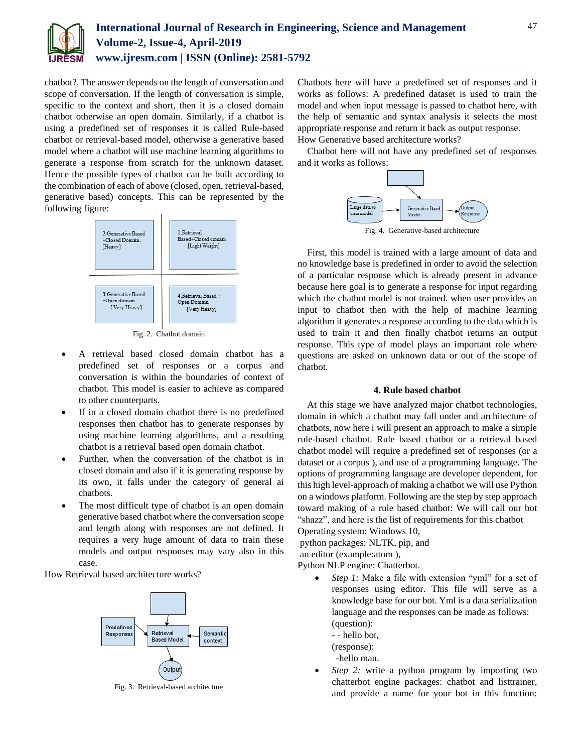

chatbot?. The answer depends on the length of conversation and scope of conversation. If the length of conversation is simple, specific to the context and short, then it is a closed domain chatbot otherwise an open domain. Similarly, if a chatbot is using a predefined set of responses it is called Rule-based chatbot or retrieval-based model, otherwise a generative based model where a chatbot will use machine learning algorithms to generate a response from scratch for the unknown dataset. Hence the possible types of chatbot can be built according to the combination of each of above (closed, open, retrieval-based, generative based) concepts. This can be represented by the following figure:



Fig. 2. Chatbot domain

- A retrieval based closed domain chatbot has a predefined set of responses or a corpus and conversation is within the boundaries of context of chatbot. This model is easier to achieve as compared to other counterparts.
- If in a closed domain chatbot there is no predefined responses then chatbot has to generate responses by using machine learning algorithms, and a resulting chatbot is a retrieval based open domain chatbot.
- Further, when the conversation of the chatbot is in closed domain and also if it is generating response by its own, it falls under the category of general ai chatbots.
- The most difficult type of chatbot is an open domain generative based chatbot where the conversation scope and length along with responses are not defined. It requires a very huge amount of data to train these models and output responses may vary also in this case.

How Retrieval based architecture works?



Fig. 3. Retrieval-based architecture

Chatbots here will have a predefined set of responses and it works as follows: A predefined dataset is used to train the model and when input message is passed to chatbot here, with the help of semantic and syntax analysis it selects the most appropriate response and return it back as output response. How Generative based architecture works?

Chatbot here will not have any predefined set of responses and it works as follows:



Fig. 4. Generative-based architecture

First, this model is trained with a large amount of data and no knowledge base is predefined in order to avoid the selection of a particular response which is already present in advance because here goal is to generate a response for input regarding which the chatbot model is not trained. when user provides an input to chatbot then with the help of machine learning algorithm it generates a response according to the data which is used to train it and then finally chatbot returns an output response. This type of model plays an important role where questions are asked on unknown data or out of the scope of chatbot.

# **4. Rule based chatbot**

At this stage we have analyzed major chatbot technologies, domain in which a chatbot may fall under and architecture of chatbots, now here i will present an approach to make a simple rule-based chatbot. Rule based chatbot or a retrieval based chatbot model will require a predefined set of responses (or a dataset or a corpus ), and use of a programming language. The options of programming language are developer dependent, for this high level-approach of making a chatbot we will use Python on a windows platform. Following are the step by step approach toward making of a rule based chatbot: We will call our bot "shazz", and here is the list of requirements for this chatbot Operating system: Windows 10,

python packages: NLTK, pip, and an editor (example:atom ),

Python NLP engine: Chatterbot.

- *Step 1:* Make a file with extension "yml" for a set of responses using editor. This file will serve as a knowledge base for our bot. Yml is a data serialization language and the responses can be made as follows: (question):
	- - hello bot,
	- (response):
	- -hello man.
- *Step 2:* write a python program by importing two chatterbot engine packages: chatbot and listtrainer, and provide a name for your bot in this function: